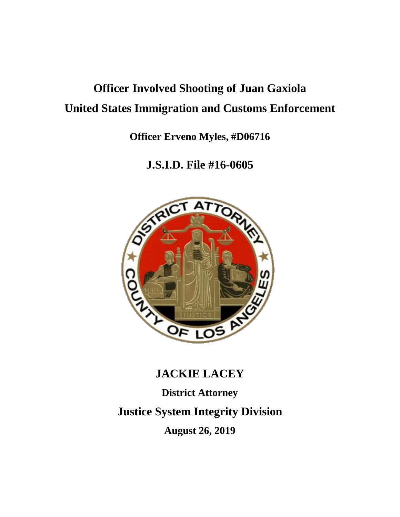# **Officer Involved Shooting of Juan Gaxiola United States Immigration and Customs Enforcement**

**Officer Erveno Myles, #D06716**

**J.S.I.D. File #16-0605**



# **JACKIE LACEY**

**District Attorney**

**Justice System Integrity Division**

**August 26, 2019**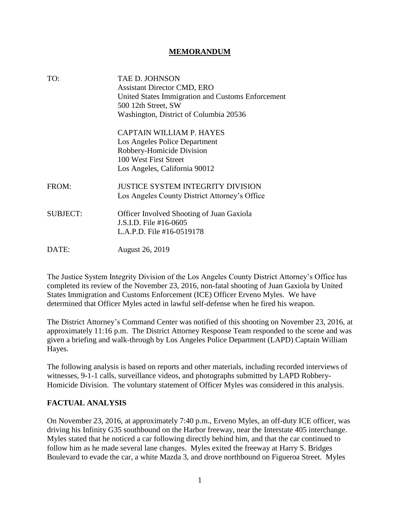#### **MEMORANDUM**

| TO:             | <b>TAE D. JOHNSON</b>                             |
|-----------------|---------------------------------------------------|
|                 | <b>Assistant Director CMD, ERO</b>                |
|                 | United States Immigration and Customs Enforcement |
|                 | 500 12th Street, SW                               |
|                 | Washington, District of Columbia 20536            |
|                 | <b>CAPTAIN WILLIAM P. HAYES</b>                   |
|                 | Los Angeles Police Department                     |
|                 | Robbery-Homicide Division                         |
|                 | 100 West First Street                             |
|                 | Los Angeles, California 90012                     |
| FROM:           | <b>JUSTICE SYSTEM INTEGRITY DIVISION</b>          |
|                 | Los Angeles County District Attorney's Office     |
| <b>SUBJECT:</b> | <b>Officer Involved Shooting of Juan Gaxiola</b>  |
|                 | J.S.I.D. File #16-0605                            |
|                 | L.A.P.D. File #16-0519178                         |
| DATE:           | <b>August 26, 2019</b>                            |

The Justice System Integrity Division of the Los Angeles County District Attorney's Office has completed its review of the November 23, 2016, non-fatal shooting of Juan Gaxiola by United States Immigration and Customs Enforcement (ICE) Officer Erveno Myles. We have determined that Officer Myles acted in lawful self-defense when he fired his weapon.

The District Attorney's Command Center was notified of this shooting on November 23, 2016, at approximately 11:16 p.m. The District Attorney Response Team responded to the scene and was given a briefing and walk-through by Los Angeles Police Department (LAPD) Captain William Hayes.

The following analysis is based on reports and other materials, including recorded interviews of witnesses, 9-1-1 calls, surveillance videos, and photographs submitted by LAPD Robbery-Homicide Division. The voluntary statement of Officer Myles was considered in this analysis.

#### **FACTUAL ANALYSIS**

On November 23, 2016, at approximately 7:40 p.m., Erveno Myles, an off-duty ICE officer, was driving his Infinity G35 southbound on the Harbor freeway, near the Interstate 405 interchange. Myles stated that he noticed a car following directly behind him, and that the car continued to follow him as he made several lane changes. Myles exited the freeway at Harry S. Bridges Boulevard to evade the car, a white Mazda 3, and drove northbound on Figueroa Street. Myles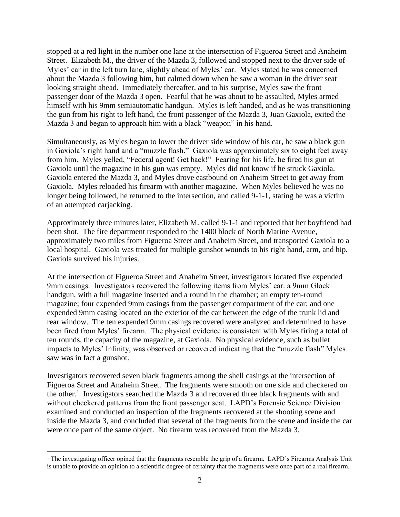stopped at a red light in the number one lane at the intersection of Figueroa Street and Anaheim Street. Elizabeth M., the driver of the Mazda 3, followed and stopped next to the driver side of Myles' car in the left turn lane, slightly ahead of Myles' car. Myles stated he was concerned about the Mazda 3 following him, but calmed down when he saw a woman in the driver seat looking straight ahead. Immediately thereafter, and to his surprise, Myles saw the front passenger door of the Mazda 3 open. Fearful that he was about to be assaulted, Myles armed himself with his 9mm semiautomatic handgun. Myles is left handed, and as he was transitioning the gun from his right to left hand, the front passenger of the Mazda 3, Juan Gaxiola, exited the Mazda 3 and began to approach him with a black "weapon" in his hand.

Simultaneously, as Myles began to lower the driver side window of his car, he saw a black gun in Gaxiola's right hand and a "muzzle flash." Gaxiola was approximately six to eight feet away from him. Myles yelled, "Federal agent! Get back!" Fearing for his life, he fired his gun at Gaxiola until the magazine in his gun was empty. Myles did not know if he struck Gaxiola. Gaxiola entered the Mazda 3, and Myles drove eastbound on Anaheim Street to get away from Gaxiola. Myles reloaded his firearm with another magazine. When Myles believed he was no longer being followed, he returned to the intersection, and called 9-1-1, stating he was a victim of an attempted carjacking.

Approximately three minutes later, Elizabeth M. called 9-1-1 and reported that her boyfriend had been shot. The fire department responded to the 1400 block of North Marine Avenue, approximately two miles from Figueroa Street and Anaheim Street, and transported Gaxiola to a local hospital. Gaxiola was treated for multiple gunshot wounds to his right hand, arm, and hip. Gaxiola survived his injuries.

At the intersection of Figueroa Street and Anaheim Street, investigators located five expended 9mm casings. Investigators recovered the following items from Myles' car: a 9mm Glock handgun, with a full magazine inserted and a round in the chamber; an empty ten-round magazine; four expended 9mm casings from the passenger compartment of the car; and one expended 9mm casing located on the exterior of the car between the edge of the trunk lid and rear window. The ten expended 9mm casings recovered were analyzed and determined to have been fired from Myles' firearm. The physical evidence is consistent with Myles firing a total of ten rounds, the capacity of the magazine, at Gaxiola. No physical evidence, such as bullet impacts to Myles' Infinity, was observed or recovered indicating that the "muzzle flash" Myles saw was in fact a gunshot.

Investigators recovered seven black fragments among the shell casings at the intersection of Figueroa Street and Anaheim Street. The fragments were smooth on one side and checkered on the other.<sup>1</sup> Investigators searched the Mazda 3 and recovered three black fragments with and without checkered patterns from the front passenger seat. LAPD's Forensic Science Division examined and conducted an inspection of the fragments recovered at the shooting scene and inside the Mazda 3, and concluded that several of the fragments from the scene and inside the car were once part of the same object. No firearm was recovered from the Mazda 3.

 $\overline{a}$ 

 $1$  The investigating officer opined that the fragments resemble the grip of a firearm. LAPD's Firearms Analysis Unit is unable to provide an opinion to a scientific degree of certainty that the fragments were once part of a real firearm.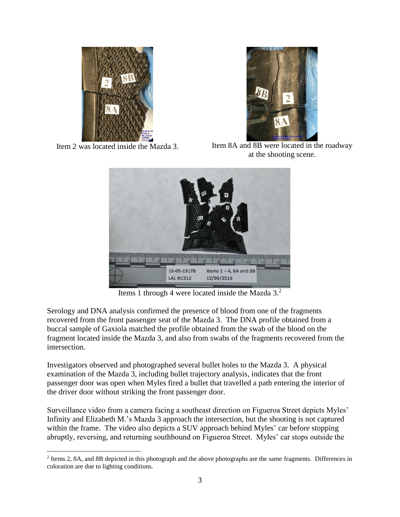



Item 2 was located inside the Mazda 3. Item 8A and 8B were located in the roadway at the shooting scene.



Items 1 through 4 were located inside the Mazda  $3<sup>2</sup>$ 

Serology and DNA analysis confirmed the presence of blood from one of the fragments recovered from the front passenger seat of the Mazda 3. The DNA profile obtained from a buccal sample of Gaxiola matched the profile obtained from the swab of the blood on the fragment located inside the Mazda 3, and also from swabs of the fragments recovered from the intersection.

Investigators observed and photographed several bullet holes to the Mazda 3. A physical examination of the Mazda 3, including bullet trajectory analysis, indicates that the front passenger door was open when Myles fired a bullet that travelled a path entering the interior of the driver door without striking the front passenger door.

Surveillance video from a camera facing a southeast direction on Figueroa Street depicts Myles' Infinity and Elizabeth M.'s Mazda 3 approach the intersection, but the shooting is not captured within the frame. The video also depicts a SUV approach behind Myles' car before stopping abruptly, reversing, and returning southbound on Figueroa Street. Myles' car stops outside the

 $\overline{a}$ <sup>2</sup> Items 2, 8A, and 8B depicted in this photograph and the above photographs are the same fragments. Differences in coloration are due to lighting conditions.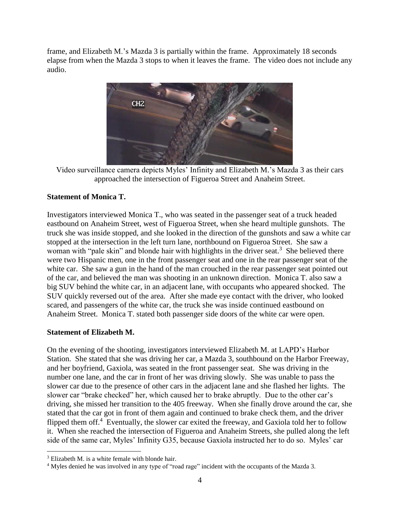frame, and Elizabeth M.'s Mazda 3 is partially within the frame. Approximately 18 seconds elapse from when the Mazda 3 stops to when it leaves the frame. The video does not include any audio.



Video surveillance camera depicts Myles' Infinity and Elizabeth M.'s Mazda 3 as their cars approached the intersection of Figueroa Street and Anaheim Street.

# **Statement of Monica T.**

Investigators interviewed Monica T., who was seated in the passenger seat of a truck headed eastbound on Anaheim Street, west of Figueroa Street, when she heard multiple gunshots. The truck she was inside stopped, and she looked in the direction of the gunshots and saw a white car stopped at the intersection in the left turn lane, northbound on Figueroa Street. She saw a woman with "pale skin" and blonde hair with highlights in the driver seat.<sup>3</sup> She believed there were two Hispanic men, one in the front passenger seat and one in the rear passenger seat of the white car. She saw a gun in the hand of the man crouched in the rear passenger seat pointed out of the car, and believed the man was shooting in an unknown direction. Monica T. also saw a big SUV behind the white car, in an adjacent lane, with occupants who appeared shocked. The SUV quickly reversed out of the area. After she made eye contact with the driver, who looked scared, and passengers of the white car, the truck she was inside continued eastbound on Anaheim Street. Monica T. stated both passenger side doors of the white car were open.

### **Statement of Elizabeth M.**

On the evening of the shooting, investigators interviewed Elizabeth M. at LAPD's Harbor Station. She stated that she was driving her car, a Mazda 3, southbound on the Harbor Freeway, and her boyfriend, Gaxiola, was seated in the front passenger seat. She was driving in the number one lane, and the car in front of her was driving slowly. She was unable to pass the slower car due to the presence of other cars in the adjacent lane and she flashed her lights. The slower car "brake checked" her, which caused her to brake abruptly. Due to the other car's driving, she missed her transition to the 405 freeway. When she finally drove around the car, she stated that the car got in front of them again and continued to brake check them, and the driver flipped them off.<sup>4</sup> Eventually, the slower car exited the freeway, and Gaxiola told her to follow it. When she reached the intersection of Figueroa and Anaheim Streets, she pulled along the left side of the same car, Myles' Infinity G35, because Gaxiola instructed her to do so. Myles' car

 $\overline{a}$ 

<sup>&</sup>lt;sup>3</sup> Elizabeth M. is a white female with blonde hair.

<sup>&</sup>lt;sup>4</sup> Myles denied he was involved in any type of "road rage" incident with the occupants of the Mazda 3.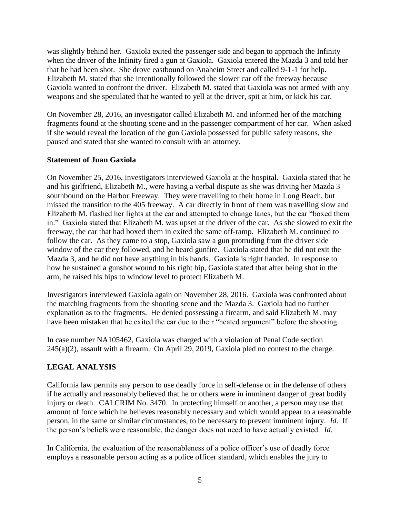was slightly behind her. Gaxiola exited the passenger side and began to approach the Infinity when the driver of the Infinity fired a gun at Gaxiola. Gaxiola entered the Mazda 3 and told her that he had been shot. She drove eastbound on Anaheim Street and called 9-1-1 for help. Elizabeth M. stated that she intentionally followed the slower car off the freeway because Gaxiola wanted to confront the driver. Elizabeth M. stated that Gaxiola was not armed with any weapons and she speculated that he wanted to yell at the driver, spit at him, or kick his car.

On November 28, 2016, an investigator called Elizabeth M. and informed her of the matching fragments found at the shooting scene and in the passenger compartment of her car. When asked if she would reveal the location of the gun Gaxiola possessed for public safety reasons, she paused and stated that she wanted to consult with an attorney.

#### **Statement of Juan Gaxiola**

On November 25, 2016, investigators interviewed Gaxiola at the hospital. Gaxiola stated that he and his girlfriend, Elizabeth M., were having a verbal dispute as she was driving her Mazda 3 southbound on the Harbor Freeway. They were travelling to their home in Long Beach, but missed the transition to the 405 freeway. A car directly in front of them was travelling slow and Elizabeth M. flashed her lights at the car and attempted to change lanes, but the car "boxed them in." Gaxiola stated that Elizabeth M. was upset at the driver of the car. As she slowed to exit the freeway, the car that had boxed them in exited the same off-ramp. Elizabeth M. continued to follow the car. As they came to a stop, Gaxiola saw a gun protruding from the driver side window of the car they followed, and he heard gunfire. Gaxiola stated that he did not exit the Mazda 3, and he did not have anything in his hands. Gaxiola is right handed. In response to how he sustained a gunshot wound to his right hip, Gaxiola stated that after being shot in the arm, he raised his hips to window level to protect Elizabeth M.

Investigators interviewed Gaxiola again on November 28, 2016. Gaxiola was confronted about the matching fragments from the shooting scene and the Mazda 3. Gaxiola had no further explanation as to the fragments. He denied possessing a firearm, and said Elizabeth M. may have been mistaken that he exited the car due to their "heated argument" before the shooting.

In case number NA105462, Gaxiola was charged with a violation of Penal Code section 245(a)(2), assault with a firearm. On April 29, 2019, Gaxiola pled no contest to the charge.

### **LEGAL ANALYSIS**

California law permits any person to use deadly force in self-defense or in the defense of others if he actually and reasonably believed that he or others were in imminent danger of great bodily injury or death. CALCRIM No. 3470. In protecting himself or another, a person may use that amount of force which he believes reasonably necessary and which would appear to a reasonable person, in the same or similar circumstances, to be necessary to prevent imminent injury. *Id*. If the person's beliefs were reasonable, the danger does not need to have actually existed. *Id*.

In California, the evaluation of the reasonableness of a police officer's use of deadly force employs a reasonable person acting as a police officer standard, which enables the jury to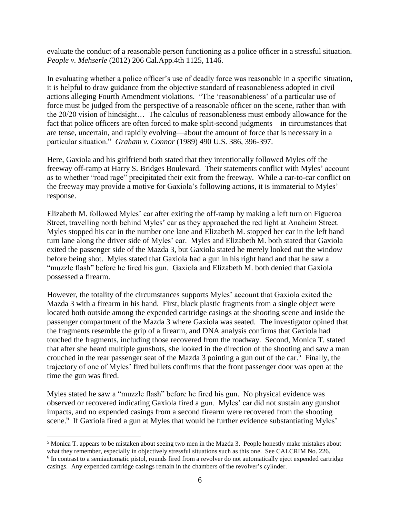evaluate the conduct of a reasonable person functioning as a police officer in a stressful situation. *People v. Mehserle* (2012) 206 Cal.App.4th 1125, 1146.

In evaluating whether a police officer's use of deadly force was reasonable in a specific situation, it is helpful to draw guidance from the objective standard of reasonableness adopted in civil actions alleging Fourth Amendment violations. "The 'reasonableness' of a particular use of force must be judged from the perspective of a reasonable officer on the scene, rather than with the 20/20 vision of hindsight… The calculus of reasonableness must embody allowance for the fact that police officers are often forced to make split-second judgments—in circumstances that are tense, uncertain, and rapidly evolving—about the amount of force that is necessary in a particular situation." *Graham v. Connor* (1989) 490 U.S. 386, 396-397.

Here, Gaxiola and his girlfriend both stated that they intentionally followed Myles off the freeway off-ramp at Harry S. Bridges Boulevard. Their statements conflict with Myles' account as to whether "road rage" precipitated their exit from the freeway. While a car-to-car conflict on the freeway may provide a motive for Gaxiola's following actions, it is immaterial to Myles' response.

Elizabeth M. followed Myles' car after exiting the off-ramp by making a left turn on Figueroa Street, travelling north behind Myles' car as they approached the red light at Anaheim Street. Myles stopped his car in the number one lane and Elizabeth M. stopped her car in the left hand turn lane along the driver side of Myles' car. Myles and Elizabeth M. both stated that Gaxiola exited the passenger side of the Mazda 3, but Gaxiola stated he merely looked out the window before being shot. Myles stated that Gaxiola had a gun in his right hand and that he saw a "muzzle flash" before he fired his gun. Gaxiola and Elizabeth M. both denied that Gaxiola possessed a firearm.

However, the totality of the circumstances supports Myles' account that Gaxiola exited the Mazda 3 with a firearm in his hand. First, black plastic fragments from a single object were located both outside among the expended cartridge casings at the shooting scene and inside the passenger compartment of the Mazda 3 where Gaxiola was seated. The investigator opined that the fragments resemble the grip of a firearm, and DNA analysis confirms that Gaxiola had touched the fragments, including those recovered from the roadway. Second, Monica T. stated that after she heard multiple gunshots, she looked in the direction of the shooting and saw a man crouched in the rear passenger seat of the Mazda 3 pointing a gun out of the car.<sup>5</sup> Finally, the trajectory of one of Myles' fired bullets confirms that the front passenger door was open at the time the gun was fired.

Myles stated he saw a "muzzle flash" before he fired his gun. No physical evidence was observed or recovered indicating Gaxiola fired a gun. Myles' car did not sustain any gunshot impacts, and no expended casings from a second firearm were recovered from the shooting scene.<sup>6</sup> If Gaxiola fired a gun at Myles that would be further evidence substantiating Myles'

 $\overline{a}$ 

<sup>&</sup>lt;sup>5</sup> Monica T. appears to be mistaken about seeing two men in the Mazda 3. People honestly make mistakes about what they remember, especially in objectively stressful situations such as this one. See CALCRIM No. 226. <sup>6</sup> In contrast to a semiautomatic pistol, rounds fired from a revolver do not automatically eject expended cartridge casings. Any expended cartridge casings remain in the chambers of the revolver's cylinder.